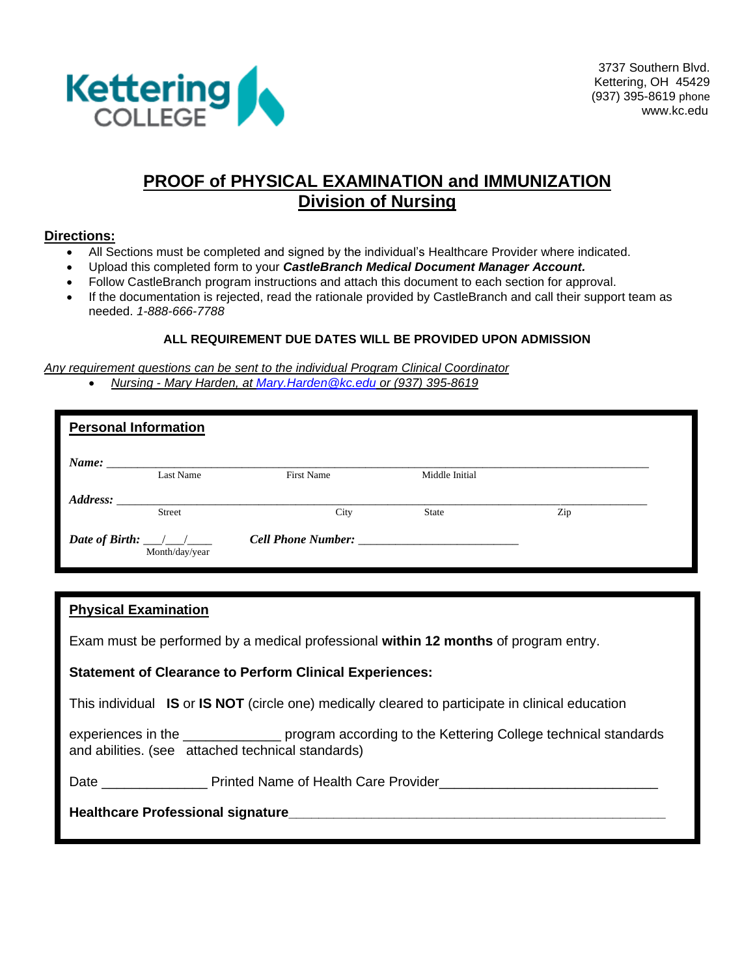

### **PROOF of PHYSICAL EXAMINATION and IMMUNIZATION Division of Nursing**

#### **Directions:**

- All Sections must be completed and signed by the individual's Healthcare Provider where indicated.
- Upload this completed form to your *CastleBranch Medical Document Manager Account.*
- Follow CastleBranch program instructions and attach this document to each section for approval.
- If the documentation is rejected, read the rationale provided by CastleBranch and call their support team as needed. *1-888-666-7788*

### **ALL REQUIREMENT DUE DATES WILL BE PROVIDED UPON ADMISSION**

*Any requirement questions can be sent to the individual Program Clinical Coordinator* • *Nursing - Mary Harden, at [Mary.Harden@kc.edu](mailto:Mary.Harden@kc.edu) or (937) 395-8619*

|          | <b>Personal Information</b>                                       |                           |                |     |  |
|----------|-------------------------------------------------------------------|---------------------------|----------------|-----|--|
|          | Last Name                                                         | <b>First Name</b>         | Middle Initial |     |  |
| Address: | <b>Street</b>                                                     | City                      | <b>State</b>   | Zip |  |
|          | Date of Birth: $\frac{1}{\sqrt{1-\frac{1}{2}}}$<br>Month/day/year | <b>Cell Phone Number:</b> |                |     |  |

| <b>Physical Examination</b>                                                                                                                                |  |  |
|------------------------------------------------------------------------------------------------------------------------------------------------------------|--|--|
| Exam must be performed by a medical professional within 12 months of program entry.                                                                        |  |  |
| <b>Statement of Clearance to Perform Clinical Experiences:</b>                                                                                             |  |  |
| This individual IS or IS NOT (circle one) medically cleared to participate in clinical education                                                           |  |  |
| experiences in the ___________________ program according to the Kettering College technical standards<br>and abilities. (see attached technical standards) |  |  |
|                                                                                                                                                            |  |  |
|                                                                                                                                                            |  |  |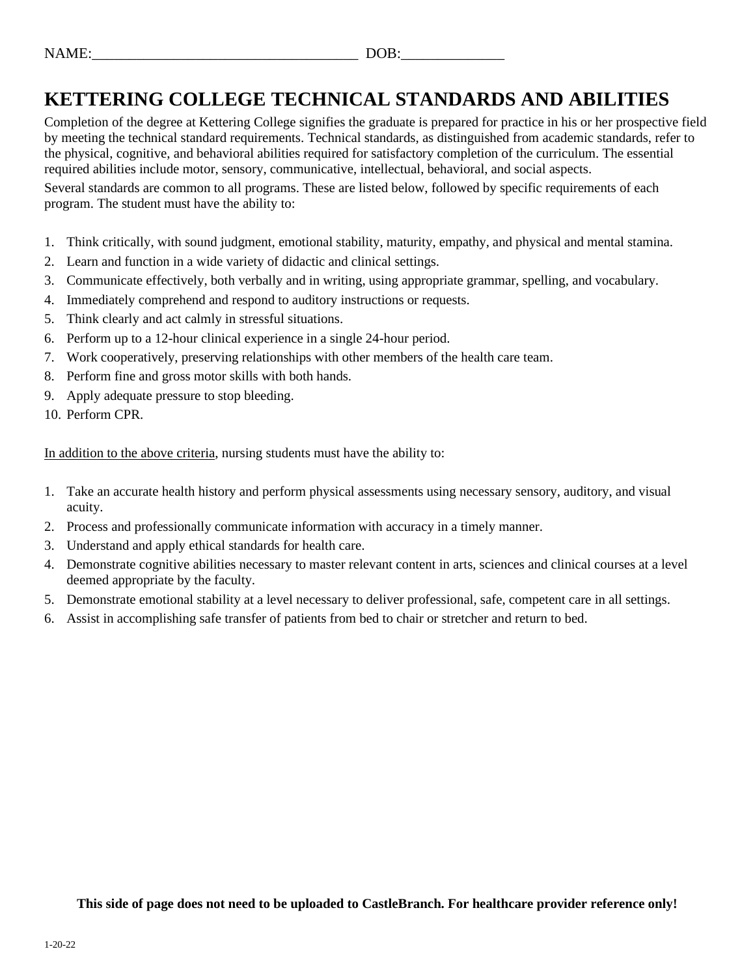| $\mathbf{A}^{\mathsf{T}}$<br>w | -<br>$\overline{\phantom{a}}$ |
|--------------------------------|-------------------------------|
|                                |                               |

## **KETTERING COLLEGE TECHNICAL STANDARDS AND ABILITIES**

Completion of the degree at Kettering College signifies the graduate is prepared for practice in his or her prospective field by meeting the technical standard requirements. Technical standards, as distinguished from academic standards, refer to the physical, cognitive, and behavioral abilities required for satisfactory completion of the curriculum. The essential required abilities include motor, sensory, communicative, intellectual, behavioral, and social aspects.

Several standards are common to all programs. These are listed below, followed by specific requirements of each program. The student must have the ability to:

- 1. Think critically, with sound judgment, emotional stability, maturity, empathy, and physical and mental stamina.
- 2. Learn and function in a wide variety of didactic and clinical settings.
- 3. Communicate effectively, both verbally and in writing, using appropriate grammar, spelling, and vocabulary.
- 4. Immediately comprehend and respond to auditory instructions or requests.
- 5. Think clearly and act calmly in stressful situations.
- 6. Perform up to a 12-hour clinical experience in a single 24-hour period.
- 7. Work cooperatively, preserving relationships with other members of the health care team.
- 8. Perform fine and gross motor skills with both hands.
- 9. Apply adequate pressure to stop bleeding.
- 10. Perform CPR.

In addition to the above criteria, nursing students must have the ability to:

- 1. Take an accurate health history and perform physical assessments using necessary sensory, auditory, and visual acuity.
- 2. Process and professionally communicate information with accuracy in a timely manner.
- 3. Understand and apply ethical standards for health care.
- 4. Demonstrate cognitive abilities necessary to master relevant content in arts, sciences and clinical courses at a level deemed appropriate by the faculty.
- 5. Demonstrate emotional stability at a level necessary to deliver professional, safe, competent care in all settings.
- 6. Assist in accomplishing safe transfer of patients from bed to chair or stretcher and return to bed.

**This side of page does not need to be uploaded to CastleBranch. For healthcare provider reference only!**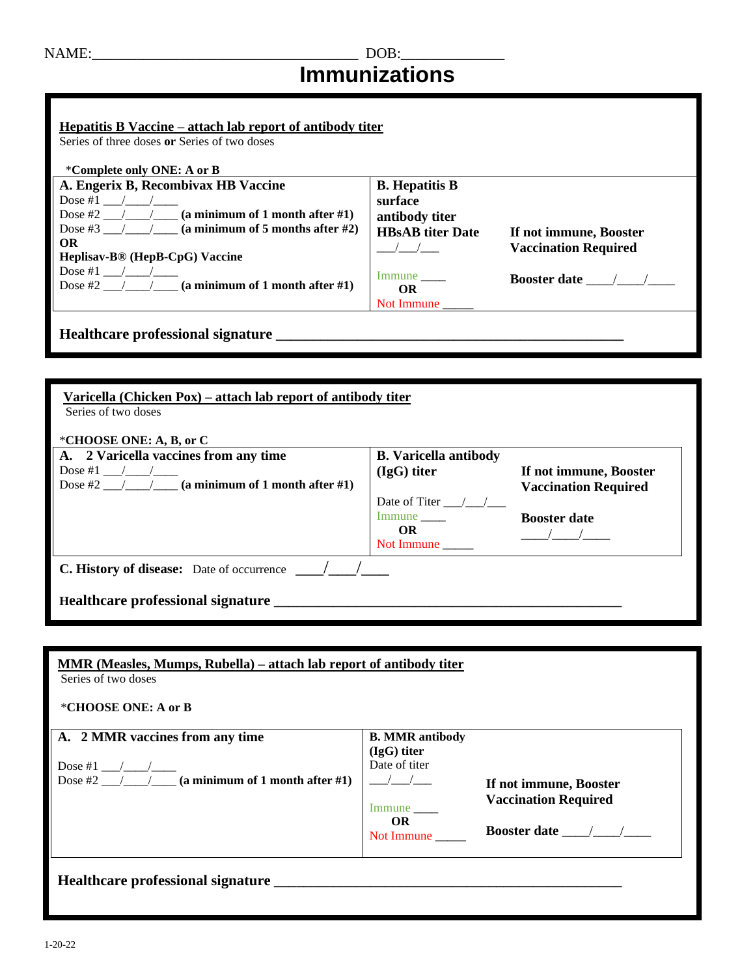### NAME:\_\_\_\_\_\_\_\_\_\_\_\_\_\_\_\_\_\_\_\_\_\_\_\_\_\_\_\_\_\_\_\_\_\_\_\_ DOB:\_\_\_\_\_\_\_\_\_\_\_\_\_\_ **Immunizations**

| Hepatitis B Vaccine – attach lab report of antibody titer |                            |                             |  |
|-----------------------------------------------------------|----------------------------|-----------------------------|--|
| Series of three doses or Series of two doses              |                            |                             |  |
|                                                           |                            |                             |  |
| *Complete only ONE: A or B                                |                            |                             |  |
| A. Engerix B, Recombivax HB Vaccine                       | <b>B.</b> Hepatitis B      |                             |  |
| Dose #1 $/$ /                                             | surface                    |                             |  |
| Dose #2 $\angle$ / (a minimum of 1 month after #1)        | antibody titer             |                             |  |
| Dose #3 $/$ $/$ (a minimum of 5 months after #2)          | <b>HBsAB</b> titer Date    | If not immune, Booster      |  |
| OR.                                                       | $\frac{\sqrt{}}{\sqrt{2}}$ | <b>Vaccination Required</b> |  |
| Heplisav-B <sup>®</sup> (HepB-CpG) Vaccine                |                            |                             |  |
| Dose #1 $/$ /                                             | Immune                     | <b>Booster date</b> / /     |  |
| Dose #2 $/$ / (a minimum of 1 month after #1)             | OR.                        |                             |  |
|                                                           | Not Immune ______          |                             |  |
|                                                           |                            |                             |  |
| Healthcare professional signature                         |                            |                             |  |
|                                                           |                            |                             |  |

| Varicella (Chicken Pox) – attach lab report of antibody titer<br>Series of two doses<br>*CHOOSE ONE: A, B, or C |                                    |                             |  |
|-----------------------------------------------------------------------------------------------------------------|------------------------------------|-----------------------------|--|
| A. 2 Varicella vaccines from any time                                                                           | <b>B.</b> Varicella antibody       |                             |  |
| Dose #1 $\frac{1}{2}$ /                                                                                         | $(IgG)$ titer                      | If not immune, Booster      |  |
| Dose #2 $/$ $/$ (a minimum of 1 month after #1)                                                                 |                                    | <b>Vaccination Required</b> |  |
|                                                                                                                 | Date of Titer $\frac{1}{\sqrt{2}}$ |                             |  |
|                                                                                                                 | Immune                             | <b>Booster date</b>         |  |
|                                                                                                                 | OR.                                |                             |  |
|                                                                                                                 | Not Immune                         |                             |  |
| <b>C. History of disease:</b> Date of occurrence                                                                |                                    |                             |  |
| Healthcare professional signature                                                                               |                                    |                             |  |

| MMR (Measles, Mumps, Rubella) – attach lab report of antibody titer<br>Series of two doses |                                                          |                                                       |
|--------------------------------------------------------------------------------------------|----------------------------------------------------------|-------------------------------------------------------|
| *CHOOSE ONE: A or B                                                                        |                                                          |                                                       |
| A. 2 MMR vaccines from any time                                                            | <b>B. MMR antibody</b><br>$(IgG)$ titer<br>Date of titer |                                                       |
| Dose #2 $/$ $/$ (a minimum of 1 month after #1)                                            | $\frac{1}{2}$<br>Immune                                  | If not immune, Booster<br><b>Vaccination Required</b> |
|                                                                                            | OR.<br>Not Immune                                        | Booster date $\frac{\sqrt{2}}{2}$                     |
| Healthcare professional signature                                                          |                                                          |                                                       |